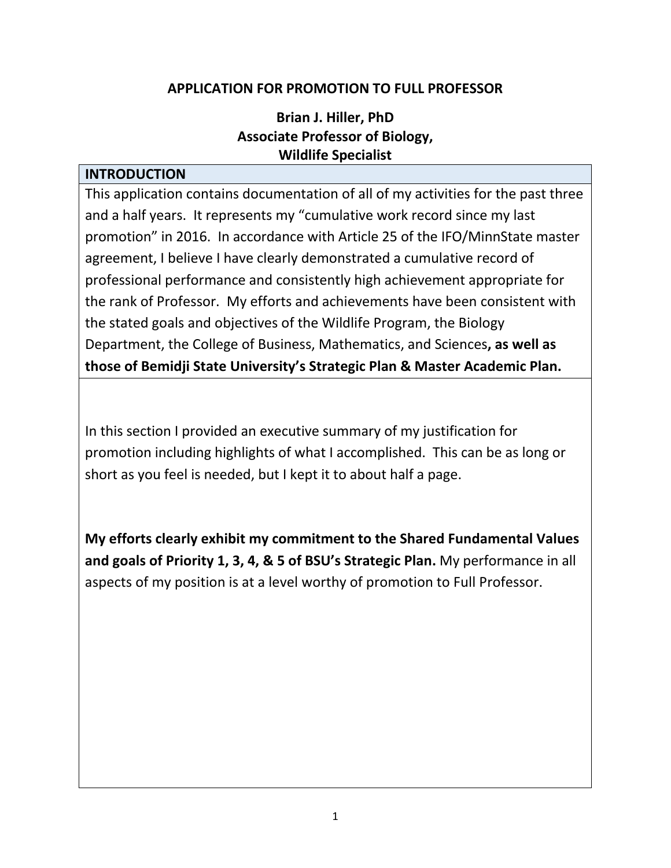#### **APPLICATION FOR PROMOTION TO FULL PROFESSOR**

### **Brian J. Hiller, PhD Associate Professor of Biology, Wildlife Specialist**

#### **INTRODUCTION**

This application contains documentation of all of my activities for the past three and a half years. It represents my "cumulative work record since my last promotion" in 2016. In accordance with Article 25 of the IFO/MinnState master agreement, I believe I have clearly demonstrated a cumulative record of professional performance and consistently high achievement appropriate for the rank of Professor. My efforts and achievements have been consistent with the stated goals and objectives of the Wildlife Program, the Biology Department, the College of Business, Mathematics, and Sciences**, as well as those of Bemidji State University's Strategic Plan & Master Academic Plan.**

In this section I provided an executive summary of my justification for promotion including highlights of what I accomplished. This can be as long or short as you feel is needed, but I kept it to about half a page.

**My efforts clearly exhibit my commitment to the Shared Fundamental Values and goals of Priority 1, 3, 4, & 5 of BSU's Strategic Plan.** My performance in all aspects of my position is at a level worthy of promotion to Full Professor.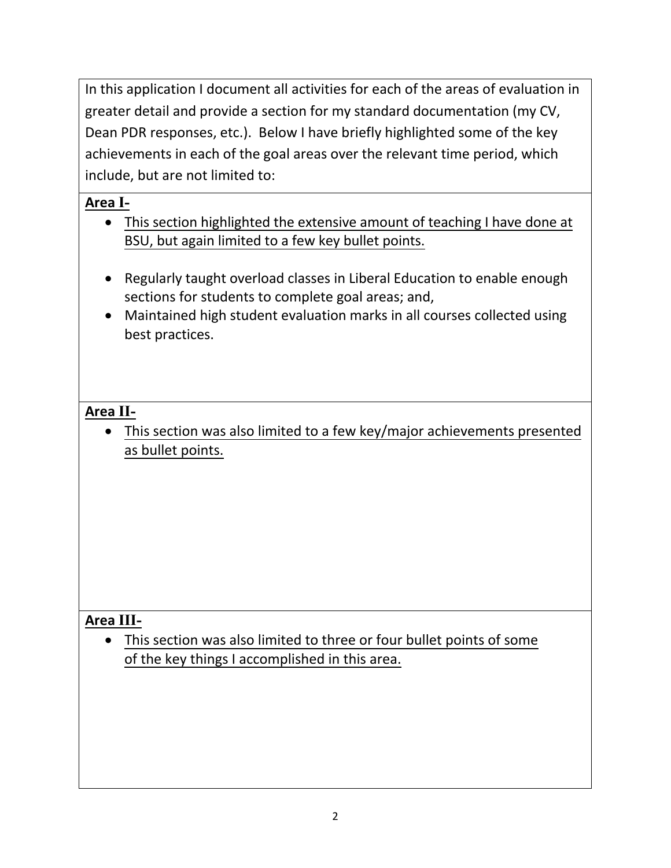In this application I document all activities for each of the areas of evaluation in greater detail and provide a section for my standard documentation (my CV, Dean PDR responses, etc.). Below I have briefly highlighted some of the key achievements in each of the goal areas over the relevant time period, which include, but are not limited to:

## **Area I-**

- This section highlighted the extensive amount of teaching I have done at BSU, but again limited to a few key bullet points.
- Regularly taught overload classes in Liberal Education to enable enough sections for students to complete goal areas; and,
- Maintained high student evaluation marks in all courses collected using best practices.

## **Area II-**

• This section was also limited to a few key/major achievements presented as bullet points.

## **Area III-**

• This section was also limited to three or four bullet points of some of the key things I accomplished in this area.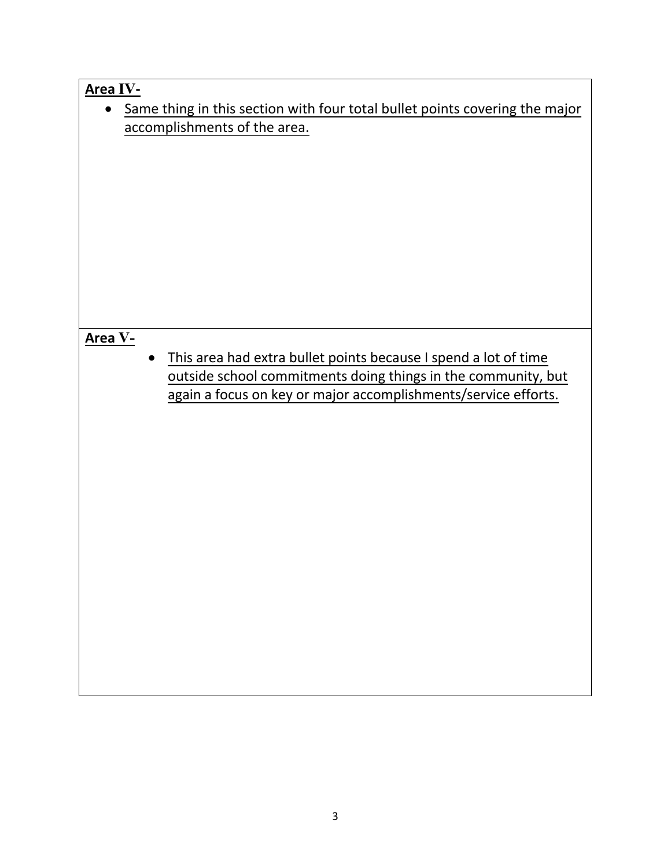| Area IV-                                                                    |
|-----------------------------------------------------------------------------|
| Same thing in this section with four total bullet points covering the major |
| accomplishments of the area.                                                |
|                                                                             |
|                                                                             |
|                                                                             |
|                                                                             |
|                                                                             |
|                                                                             |
|                                                                             |
|                                                                             |
|                                                                             |
|                                                                             |
|                                                                             |
|                                                                             |
| Area V-                                                                     |
| This area had extra bullet points because I spend a lot of time             |
| outside school commitments doing things in the community, but               |
| again a focus on key or major accomplishments/service efforts.              |
|                                                                             |
|                                                                             |
|                                                                             |
|                                                                             |
|                                                                             |
|                                                                             |
|                                                                             |
|                                                                             |
|                                                                             |
|                                                                             |
|                                                                             |
|                                                                             |
|                                                                             |
|                                                                             |
|                                                                             |
|                                                                             |
|                                                                             |
|                                                                             |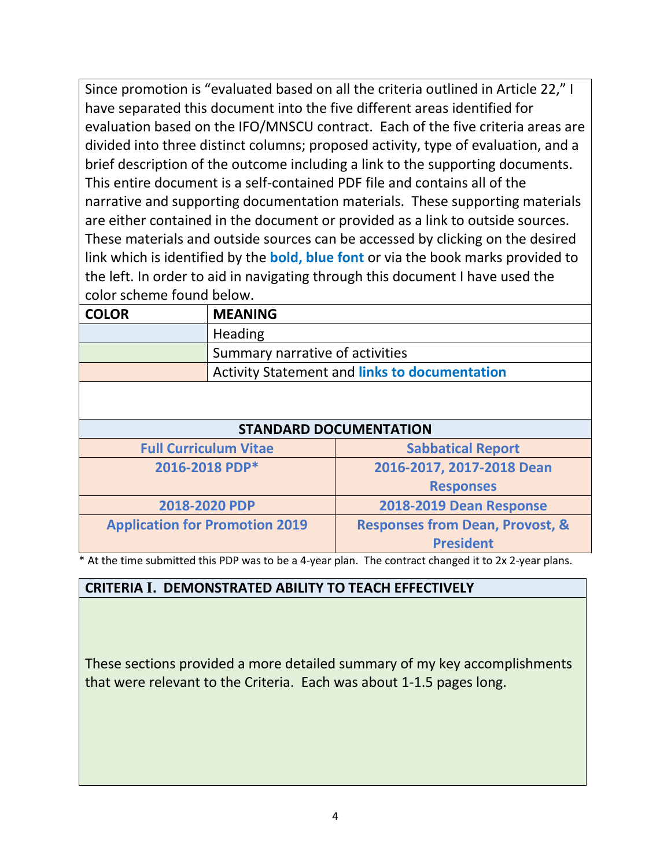Since promotion is "evaluated based on all the criteria outlined in Article 22," I have separated this document into the five different areas identified for evaluation based on the IFO/MNSCU contract. Each of the five criteria areas are divided into three distinct columns; proposed activity, type of evaluation, and a brief description of the outcome including a link to the supporting documents. This entire document is a self-contained PDF file and contains all of the narrative and supporting documentation materials. These supporting materials are either contained in the document or provided as a link to outside sources. These materials and outside sources can be accessed by clicking on the desired link which is identified by the **bold, blue font** or via the book marks provided to the left. In order to aid in navigating through this document I have used the color scheme found below.

| <b>COLOR</b> | <b>MEANING</b>                                       |
|--------------|------------------------------------------------------|
|              | Heading                                              |
|              | Summary narrative of activities                      |
|              | <b>Activity Statement and links to documentation</b> |
|              |                                                      |

#### **STANDARD DOCUMENTATION**

| <b>Full Curriculum Vitae</b>          | <b>Sabbatical Report</b>                   |
|---------------------------------------|--------------------------------------------|
| 2016-2018 PDP*                        | 2016-2017, 2017-2018 Dean                  |
|                                       | <b>Responses</b>                           |
| 2018-2020 PDP                         | 2018-2019 Dean Response                    |
| <b>Application for Promotion 2019</b> | <b>Responses from Dean, Provost, &amp;</b> |
|                                       | <b>President</b>                           |

At the time submitted this PDP was to be a 4-year plan. The contract changed it to 2x 2-year plans.

### **CRITERIA I. DEMONSTRATED ABILITY TO TEACH EFFECTIVELY**

These sections provided a more detailed summary of my key accomplishments that were relevant to the Criteria. Each was about 1-1.5 pages long.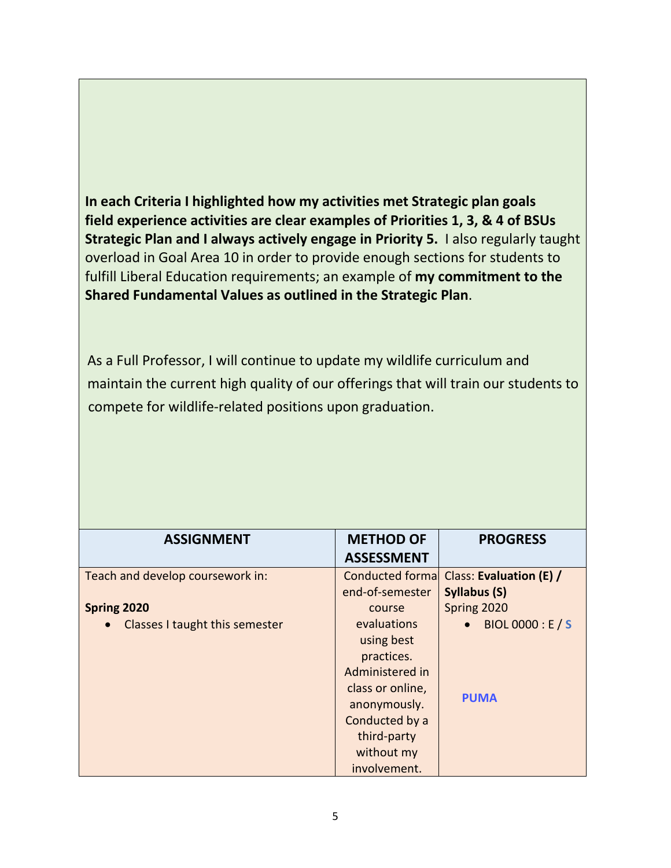**In each Criteria I highlighted how my activities met Strategic plan goals field experience activities are clear examples of Priorities 1, 3, & 4 of BSUs Strategic Plan and I always actively engage in Priority 5.** I also regularly taught overload in Goal Area 10 in order to provide enough sections for students to fulfill Liberal Education requirements; an example of **my commitment to the Shared Fundamental Values as outlined in the Strategic Plan**.

As a Full Professor, I will continue to update my wildlife curriculum and maintain the current high quality of our offerings that will train our students to compete for wildlife-related positions upon graduation.

| <b>ASSIGNMENT</b>                | <b>METHOD OF</b>   | <b>PROGRESS</b>         |
|----------------------------------|--------------------|-------------------------|
|                                  | <b>ASSESSMENT</b>  |                         |
| Teach and develop coursework in: | Conducted formal   | Class: Evaluation (E) / |
|                                  | end-of-semester    | Syllabus (S)            |
| Spring 2020                      | course             | Spring 2020             |
| Classes I taught this semester   | <b>evaluations</b> | BIOL 0000 : E / S       |
|                                  | using best         |                         |
|                                  | practices.         |                         |
|                                  | Administered in    |                         |
|                                  | class or online,   |                         |
|                                  | anonymously.       | <b>PUMA</b>             |
|                                  | Conducted by a     |                         |
|                                  | third-party        |                         |
|                                  | without my         |                         |
|                                  | involvement.       |                         |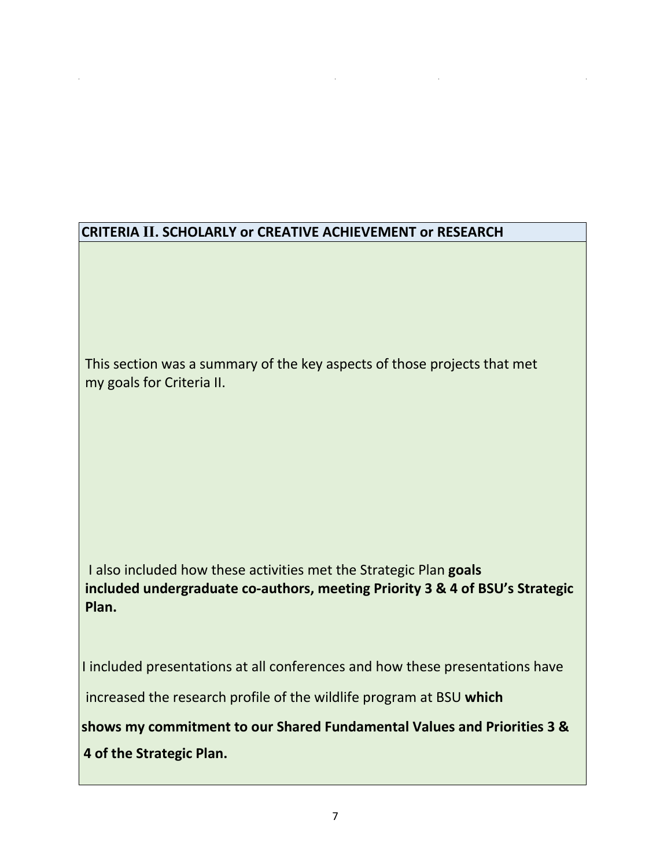## **CRITERIA II. SCHOLARLY or CREATIVE ACHIEVEMENT or RESEARCH**

This section was a summary of the key aspects of those projects that met my goals for Criteria II.

I also included how these activities met the Strategic Plan **goals included undergraduate co-authors, meeting Priority 3 & 4 of BSU's Strategic Plan.**

I included presentations at all conferences and how these presentations have increased the research profile of the wildlife program at BSU **which shows my commitment to our Shared Fundamental Values and Priorities 3 & 4 of the Strategic Plan.**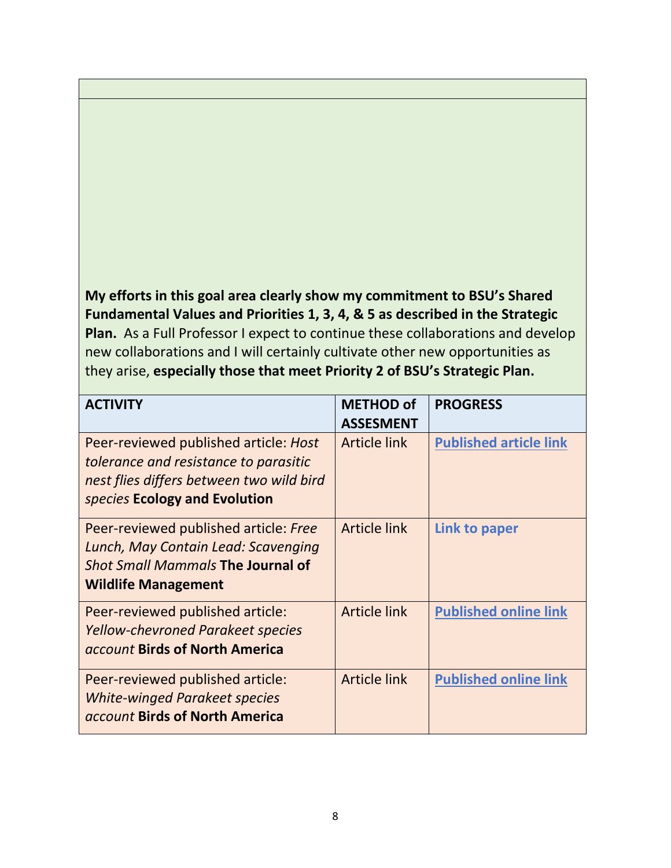**My efforts in this goal area clearly show my commitment to BSU's Shared Fundamental Values and Priorities 1, 3, 4, & 5 as described in the Strategic Plan.** As a Full Professor I expect to continue these collaborations and develop new collaborations and I will certainly cultivate other new opportunities as they arise, **especially those that meet Priority 2 of BSU's Strategic Plan.**

| <b>ACTIVITY</b>                                                                                                                                             | <b>METHOD of</b><br><b>ASSESMENT</b> | <b>PROGRESS</b>               |
|-------------------------------------------------------------------------------------------------------------------------------------------------------------|--------------------------------------|-------------------------------|
| Peer-reviewed published article: Host<br>tolerance and resistance to parasitic<br>nest flies differs between two wild bird<br>species Ecology and Evolution | <b>Article link</b>                  | <b>Published article link</b> |
| Peer-reviewed published article: Free<br>Lunch, May Contain Lead: Scavenging<br><b>Shot Small Mammals The Journal of</b><br><b>Wildlife Management</b>      | <b>Article link</b>                  | Link to paper                 |
| Peer-reviewed published article:<br><b>Yellow-chevroned Parakeet species</b><br>account Birds of North America                                              | <b>Article link</b>                  | <b>Published online link</b>  |
| Peer-reviewed published article:<br><b>White-winged Parakeet species</b><br>account Birds of North America                                                  | <b>Article link</b>                  | <b>Published online link</b>  |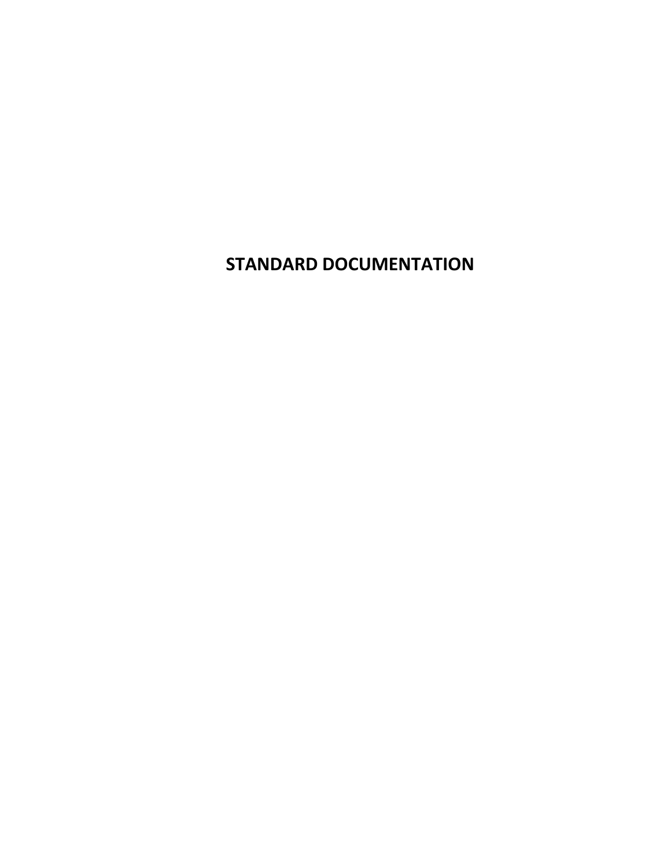**STANDARD DOCUMENTATION**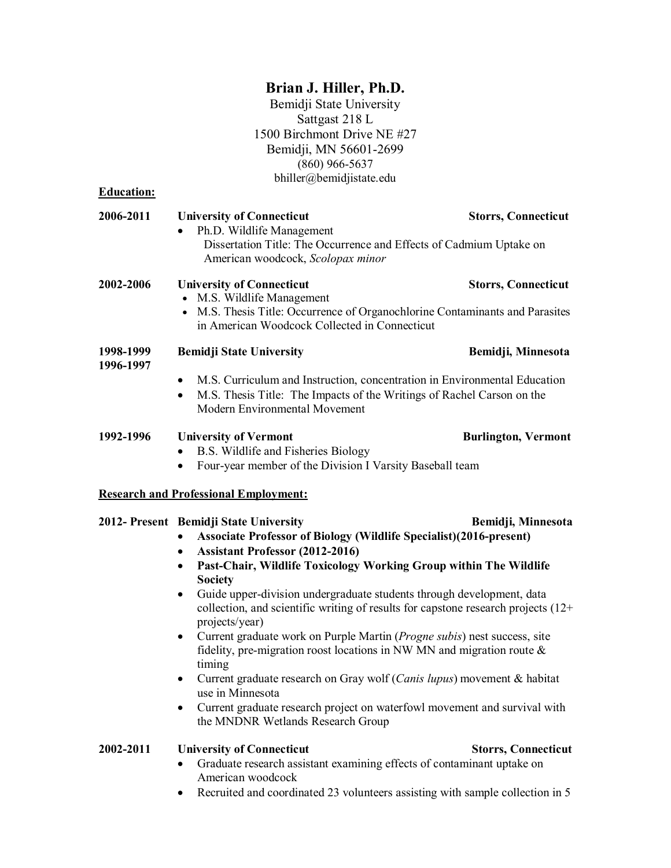#### **Brian J. Hiller, Ph.D.**

Bemidji State University Sattgast 218 L 1500 Birchmont Drive NE #27 Bemidji, MN 56601-2699 (860) 966-5637 bhiller@bemidjistate.edu

<span id="page-8-0"></span>**Education:**

| 2006-2011              | <b>University of Connecticut</b><br>Ph.D. Wildlife Management                                                                                                                                                                                                                                                                                                                                                                                                                                                                                                                                                                                                                                                                                                                                                                                                                                       | <b>Storrs, Connecticut</b> |
|------------------------|-----------------------------------------------------------------------------------------------------------------------------------------------------------------------------------------------------------------------------------------------------------------------------------------------------------------------------------------------------------------------------------------------------------------------------------------------------------------------------------------------------------------------------------------------------------------------------------------------------------------------------------------------------------------------------------------------------------------------------------------------------------------------------------------------------------------------------------------------------------------------------------------------------|----------------------------|
|                        | Dissertation Title: The Occurrence and Effects of Cadmium Uptake on<br>American woodcock, Scolopax minor                                                                                                                                                                                                                                                                                                                                                                                                                                                                                                                                                                                                                                                                                                                                                                                            |                            |
| 2002-2006              | <b>University of Connecticut</b><br>• M.S. Wildlife Management<br>• M.S. Thesis Title: Occurrence of Organochlorine Contaminants and Parasites<br>in American Woodcock Collected in Connecticut                                                                                                                                                                                                                                                                                                                                                                                                                                                                                                                                                                                                                                                                                                     | <b>Storrs, Connecticut</b> |
| 1998-1999<br>1996-1997 | <b>Bemidji State University</b>                                                                                                                                                                                                                                                                                                                                                                                                                                                                                                                                                                                                                                                                                                                                                                                                                                                                     | Bemidji, Minnesota         |
|                        | M.S. Curriculum and Instruction, concentration in Environmental Education<br>$\bullet$<br>M.S. Thesis Title: The Impacts of the Writings of Rachel Carson on the<br>$\bullet$<br>Modern Environmental Movement                                                                                                                                                                                                                                                                                                                                                                                                                                                                                                                                                                                                                                                                                      |                            |
| 1992-1996              | <b>University of Vermont</b><br>B.S. Wildlife and Fisheries Biology<br>Four-year member of the Division I Varsity Baseball team                                                                                                                                                                                                                                                                                                                                                                                                                                                                                                                                                                                                                                                                                                                                                                     | <b>Burlington, Vermont</b> |
|                        | <b>Research and Professional Employment:</b>                                                                                                                                                                                                                                                                                                                                                                                                                                                                                                                                                                                                                                                                                                                                                                                                                                                        |                            |
|                        | 2012- Present Bemidji State University<br><b>Associate Professor of Biology (Wildlife Specialist)(2016-present)</b><br><b>Assistant Professor (2012-2016)</b><br>$\bullet$<br>Past-Chair, Wildlife Toxicology Working Group within The Wildlife<br>$\bullet$<br><b>Society</b><br>Guide upper-division undergraduate students through development, data<br>$\bullet$<br>collection, and scientific writing of results for capstone research projects (12+<br>projects/year)<br>Current graduate work on Purple Martin (Progne subis) nest success, site<br>$\bullet$<br>fidelity, pre-migration roost locations in NW MN and migration route &<br>timing<br>Current graduate research on Gray wolf (Canis lupus) movement & habitat<br>$\bullet$<br>use in Minnesota<br>Current graduate research project on waterfowl movement and survival with<br>$\bullet$<br>the MNDNR Wetlands Research Group | Bemidji, Minnesota         |
| 2002-2011              | <b>University of Connecticut</b>                                                                                                                                                                                                                                                                                                                                                                                                                                                                                                                                                                                                                                                                                                                                                                                                                                                                    | <b>Storrs, Connecticut</b> |

- Graduate research assistant examining effects of contaminant uptake on American woodcock
- Recruited and coordinated 23 volunteers assisting with sample collection in 5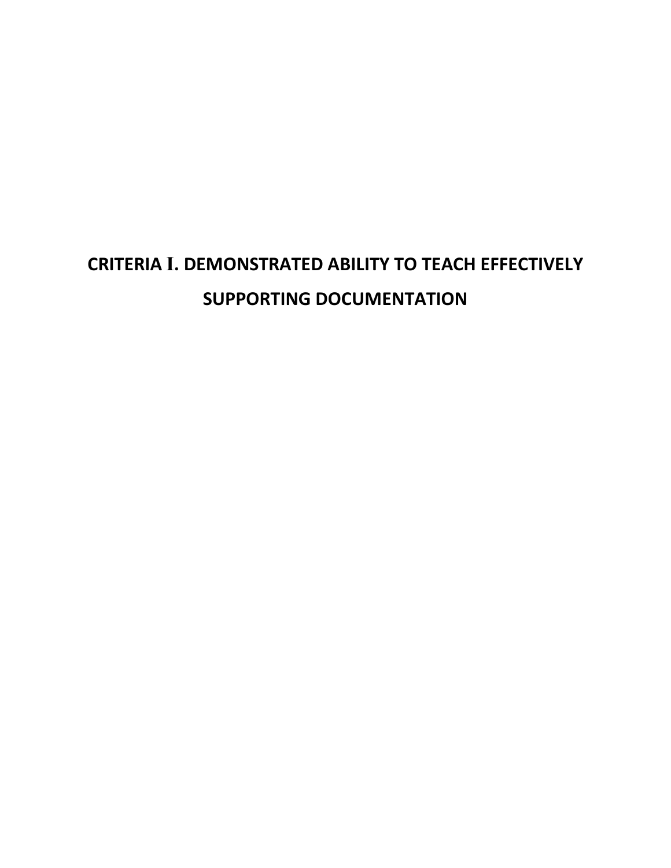# **CRITERIA I. DEMONSTRATED ABILITY TO TEACH EFFECTIVELY SUPPORTING DOCUMENTATION**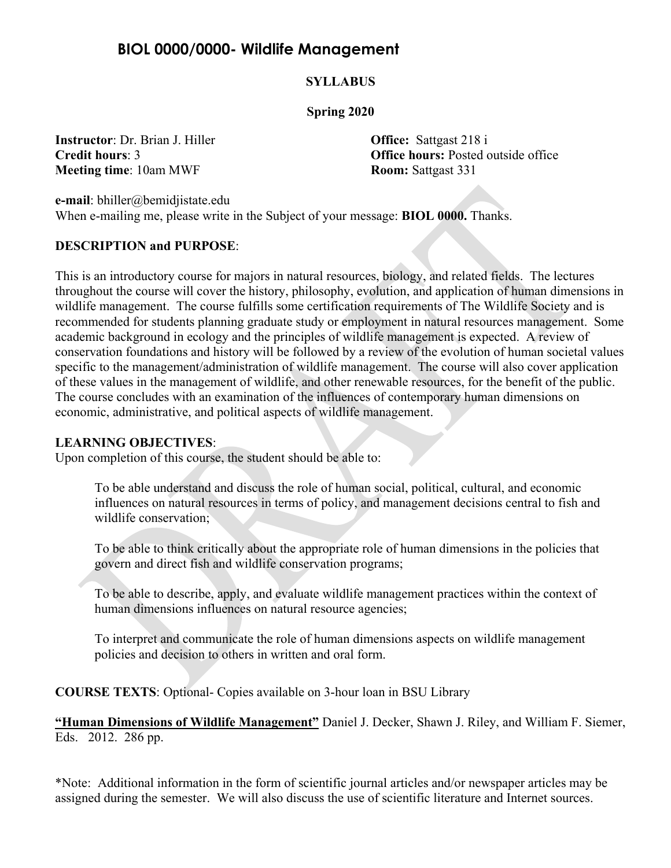## <span id="page-10-0"></span>**BIOL 0000/0000- Wildlife Management**

#### **SYLLABUS**

#### **Spring 2020**

**Instructor**: Dr. Brian J. Hiller **Office:** Sattgast 218 i **Meeting time**: 10am MWF **Room:** Sattgast 331

**Credit hours**: 3 **Office hours:** Posted outside office

**e-mail**: bhiller@bemidjistate.edu When e-mailing me, please write in the Subject of your message: **BIOL 0000.** Thanks.

#### **DESCRIPTION and PURPOSE**:

This is an introductory course for majors in natural resources, biology, and related fields. The lectures throughout the course will cover the history, philosophy, evolution, and application of human dimensions in wildlife management. The course fulfills some certification requirements of The Wildlife Society and is recommended for students planning graduate study or employment in natural resources management. Some academic background in ecology and the principles of wildlife management is expected. A review of conservation foundations and history will be followed by a review of the evolution of human societal values specific to the management/administration of wildlife management. The course will also cover application of these values in the management of wildlife, and other renewable resources, for the benefit of the public. The course concludes with an examination of the influences of contemporary human dimensions on economic, administrative, and political aspects of wildlife management.

#### **LEARNING OBJECTIVES**:

Upon completion of this course, the student should be able to:

To be able understand and discuss the role of human social, political, cultural, and economic influences on natural resources in terms of policy, and management decisions central to fish and wildlife conservation;

To be able to think critically about the appropriate role of human dimensions in the policies that govern and direct fish and wildlife conservation programs;

To be able to describe, apply, and evaluate wildlife management practices within the context of human dimensions influences on natural resource agencies;

To interpret and communicate the role of human dimensions aspects on wildlife management policies and decision to others in written and oral form.

**COURSE TEXTS**: Optional- Copies available on 3-hour loan in BSU Library

**"Human Dimensions of Wildlife Management"** Daniel J. Decker, Shawn J. Riley, and William F. Siemer, Eds. 2012. 286 pp.

\*Note: Additional information in the form of scientific journal articles and/or newspaper articles may be assigned during the semester. We will also discuss the use of scientific literature and Internet sources.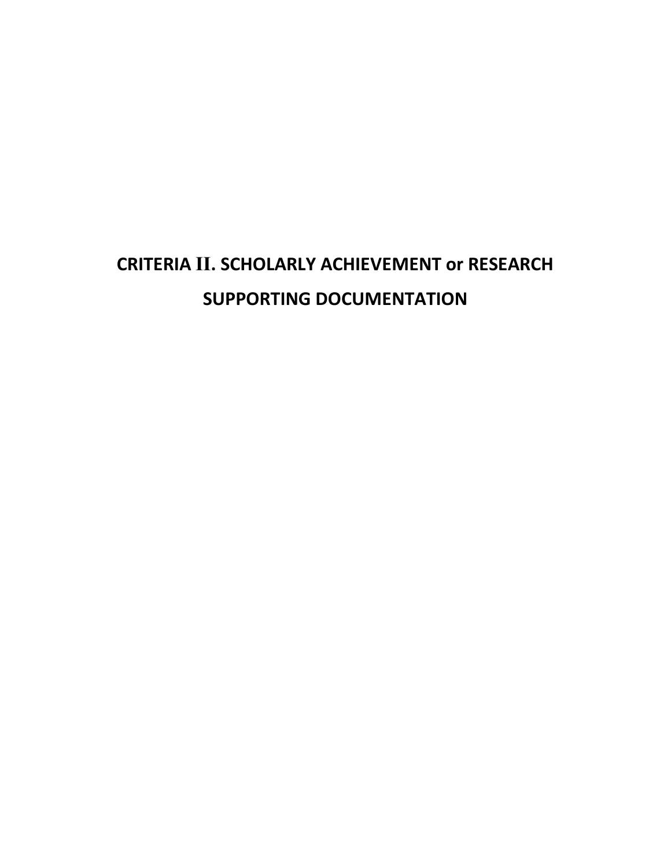# **CRITERIA II. SCHOLARLY ACHIEVEMENT or RESEARCH SUPPORTING DOCUMENTATION**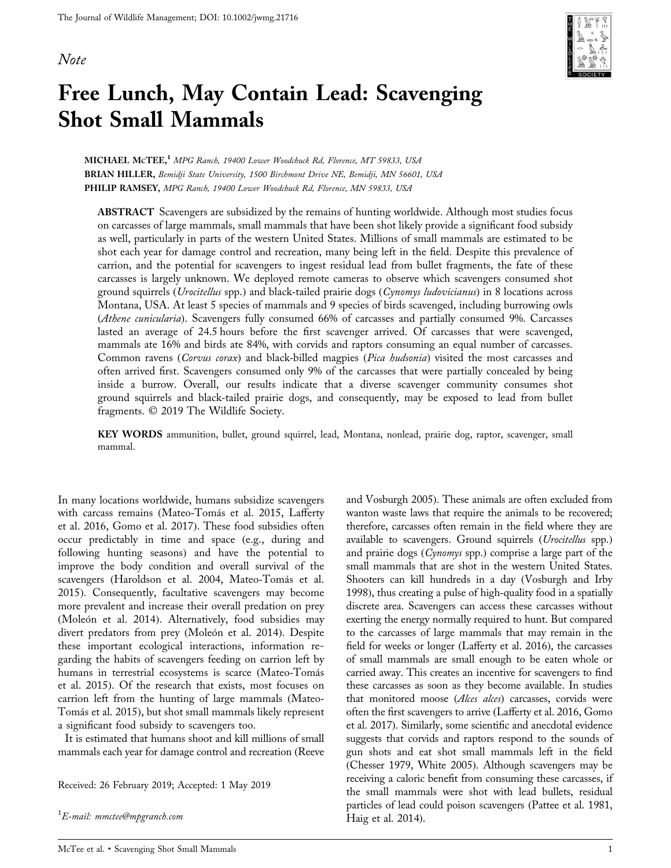#### <span id="page-12-0"></span>Note



## Free Lunch, May Contain Lead: Scavenging Shot Small Mammals

MICHAEL McTEE,<sup>1</sup> MPG Ranch, 19400 Lower Woodchuck Rd, Florence, MT 59833, USA BRIAN HILLER, Bemidji State University, 1500 Birchmont Drive NE, Bemidji, MN 56601, USA PHILIP RAMSEY, MPG Ranch, 19400 Lower Woodchuck Rd, Florence, MN 59833, USA

ABSTRACT Scavengers are subsidized by the remains of hunting worldwide. Although most studies focus on carcasses of large mammals, small mammals that have been shot likely provide a significant food subsidy as well, particularly in parts of the western United States. Millions of small mammals are estimated to be shot each year for damage control and recreation, many being left in the field. Despite this prevalence of carrion, and the potential for scavengers to ingest residual lead from bullet fragments, the fate of these carcasses is largely unknown. We deployed remote cameras to observe which scavengers consumed shot ground squirrels (Urocitellus spp.) and black-tailed prairie dogs (Cynomys ludovicianus) in 8 locations across Montana, USA. At least 5 species of mammals and 9 species of birds scavenged, including burrowing owls (Athene cunicularia). Scavengers fully consumed 66% of carcasses and partially consumed 9%. Carcasses lasted an average of 24.5 hours before the first scavenger arrived. Of carcasses that were scavenged, mammals ate 16% and birds ate 84%, with corvids and raptors consuming an equal number of carcasses. Common ravens (Corvus corax) and black-billed magpies (Pica hudsonia) visited the most carcasses and often arrived first. Scavengers consumed only 9% of the carcasses that were partially concealed by being inside a burrow. Overall, our results indicate that a diverse scavenger community consumes shot ground squirrels and black‐tailed prairie dogs, and consequently, may be exposed to lead from bullet fragments. © 2019 The Wildlife Society.

KEY WORDS ammunition, bullet, ground squirrel, lead, Montana, nonlead, prairie dog, raptor, scavenger, small mammal.

In many locations worldwide, humans subsidize scavengers with carcass remains (Mateo‐Tomás et al. 2015, Lafferty et al. 2016, Gomo et al. 2017). These food subsidies often occur predictably in time and space (e.g., during and following hunting seasons) and have the potential to improve the body condition and overall survival of the scavengers (Haroldson et al. 2004, Mateo‐Tomás et al. 2015). Consequently, facultative scavengers may become more prevalent and increase their overall predation on prey (Moleón et al. 2014). Alternatively, food subsidies may divert predators from prey (Moleón et al. 2014). Despite these important ecological interactions, information regarding the habits of scavengers feeding on carrion left by humans in terrestrial ecosystems is scarce (Mateo‐Tomás et al. 2015). Of the research that exists, most focuses on carrion left from the hunting of large mammals (Mateo‐ Tomás et al. 2015), but shot small mammals likely represent a significant food subsidy to scavengers too.

It is estimated that humans shoot and kill millions of small mammals each year for damage control and recreation (Reeve

Received: 26 February 2019; Accepted: 1 May 2019

 $^1E\!\!$ -mail: mmctee@mpgranch.com

and Vosburgh 2005). These animals are often excluded from wanton waste laws that require the animals to be recovered; therefore, carcasses often remain in the field where they are available to scavengers. Ground squirrels (Urocitellus spp.) and prairie dogs (Cynomys spp.) comprise a large part of the small mammals that are shot in the western United States. Shooters can kill hundreds in a day (Vosburgh and Irby 1998), thus creating a pulse of high‐quality food in a spatially discrete area. Scavengers can access these carcasses without exerting the energy normally required to hunt. But compared to the carcasses of large mammals that may remain in the field for weeks or longer (Lafferty et al. 2016), the carcasses of small mammals are small enough to be eaten whole or carried away. This creates an incentive for scavengers to find these carcasses as soon as they become available. In studies that monitored moose (Alces alces) carcasses, corvids were often the first scavengers to arrive (Lafferty et al. 2016, Gomo et al. 2017). Similarly, some scientific and anecdotal evidence suggests that corvids and raptors respond to the sounds of gun shots and eat shot small mammals left in the field (Chesser 1979, White 2005). Although scavengers may be receiving a caloric benefit from consuming these carcasses, if the small mammals were shot with lead bullets, residual particles of lead could poison scavengers (Pattee et al. 1981, Haig et al. 2014).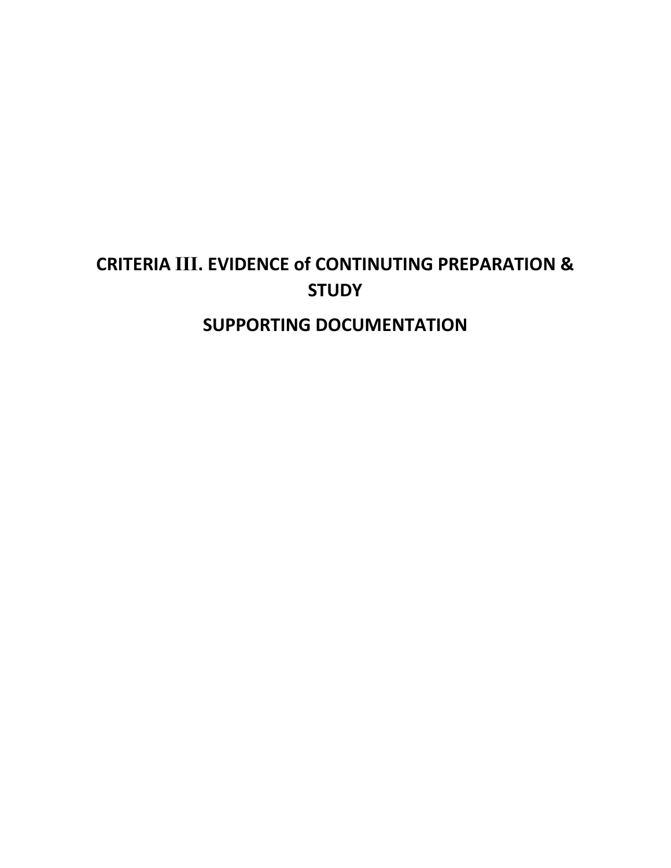## **CRITERIA III. EVIDENCE of CONTINUTING PREPARATION & STUDY SUPPORTING DOCUMENTATION**